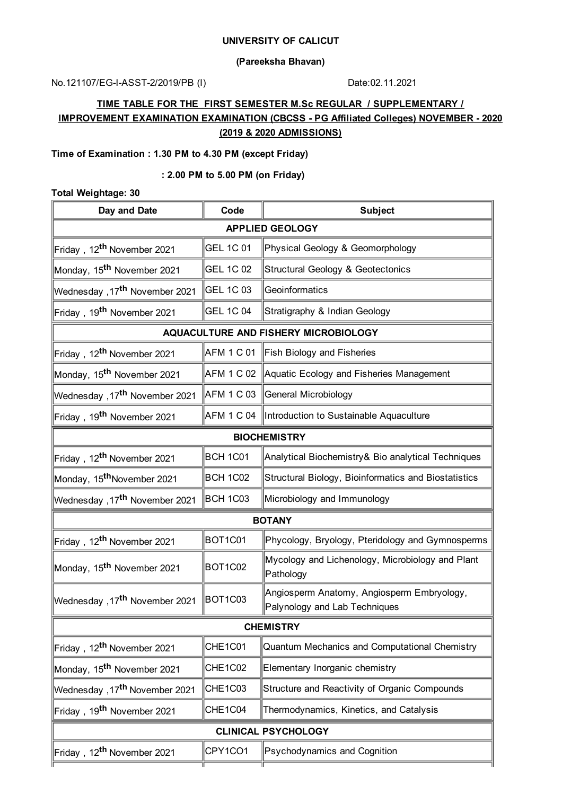### **UNIVERSITY OF CALICUT**

### **(Pareeksha Bhavan)**

No.121107/EG-I-ASST-2/2019/PB (I) Date:02.11.2021

# **TIME TABLE FOR THE FIRST SEMESTER M.Sc REGULAR / SUPPLEMENTARY / IMPROVEMENT EXAMINATION EXAMINATION (CBCSS - PG Affiliated Colleges) NOVEMBER - 2020 (2019 & 2020 ADMISSIONS)**

# **Time of Examination : 1.30 PM to 4.30 PM (except Friday)**

#### **: 2.00 PM to 5.00 PM (on Friday)**

## **Total Weightage: 30**

| Day and Date                              | Code              | <b>Subject</b>                                                              |  |  |  |
|-------------------------------------------|-------------------|-----------------------------------------------------------------------------|--|--|--|
| <b>APPLIED GEOLOGY</b>                    |                   |                                                                             |  |  |  |
| Friday, 12 <sup>th</sup> November 2021    | <b>GEL 1C 01</b>  | Physical Geology & Geomorphology                                            |  |  |  |
| Monday, 15 <sup>th</sup> November 2021    | <b>GEL 1C 02</b>  | Structural Geology & Geotectonics                                           |  |  |  |
| Wednesday ,17 <sup>th</sup> November 2021 | <b>GEL 1C 03</b>  | Geoinformatics                                                              |  |  |  |
| Friday, 19 <sup>th</sup> November 2021    | <b>GEL 1C 04</b>  | Stratigraphy & Indian Geology                                               |  |  |  |
| AQUACULTURE AND FISHERY MICROBIOLOGY      |                   |                                                                             |  |  |  |
| Friday, 12 <sup>th</sup> November 2021    | AFM 1 C 01        | Fish Biology and Fisheries                                                  |  |  |  |
| Monday, 15 <sup>th</sup> November 2021    | AFM 1 C 02        | Aquatic Ecology and Fisheries Management                                    |  |  |  |
| Wednesday, 17 <sup>th</sup> November 2021 | AFM 1 C 03        | General Microbiology                                                        |  |  |  |
| Friday, 19 <sup>th</sup> November 2021    | <b>AFM 1 C 04</b> | Introduction to Sustainable Aquaculture                                     |  |  |  |
| <b>BIOCHEMISTRY</b>                       |                   |                                                                             |  |  |  |
| Friday, 12 <sup>th</sup> November 2021    | <b>BCH 1C01</b>   | Analytical Biochemistry& Bio analytical Techniques                          |  |  |  |
| Monday, 15 <sup>th</sup> November 2021    | <b>BCH 1C02</b>   | Structural Biology, Bioinformatics and Biostatistics                        |  |  |  |
| Wednesday, 17 <sup>th</sup> November 2021 | <b>BCH 1C03</b>   | Microbiology and Immunology                                                 |  |  |  |
| <b>BOTANY</b>                             |                   |                                                                             |  |  |  |
| Friday, 12 <sup>th</sup> November 2021    | BOT1C01           | Phycology, Bryology, Pteridology and Gymnosperms                            |  |  |  |
| Monday, 15 <sup>th</sup> November 2021    | BOT1C02           | Mycology and Lichenology, Microbiology and Plant<br>Pathology               |  |  |  |
| 17 <sup>th</sup> November 2021, Wednesday | BOT1C03           | Angiosperm Anatomy, Angiosperm Embryology,<br>Palynology and Lab Techniques |  |  |  |
| <b>CHEMISTRY</b>                          |                   |                                                                             |  |  |  |
| Friday, 12 <sup>th</sup> November 2021    | CHE1C01           | Quantum Mechanics and Computational Chemistry                               |  |  |  |
| Monday, 15 <sup>th</sup> November 2021    | CHE1C02           | Elementary Inorganic chemistry                                              |  |  |  |
| Wednesday, 17 <sup>th</sup> November 2021 | CHE1C03           | Structure and Reactivity of Organic Compounds                               |  |  |  |
| Friday, 19 <sup>th</sup> November 2021    | CHE1C04           | Thermodynamics, Kinetics, and Catalysis                                     |  |  |  |
| <b>CLINICAL PSYCHOLOGY</b>                |                   |                                                                             |  |  |  |
| Friday, 12 <sup>th</sup> November 2021    | CPY1CO1           | Psychodynamics and Cognition                                                |  |  |  |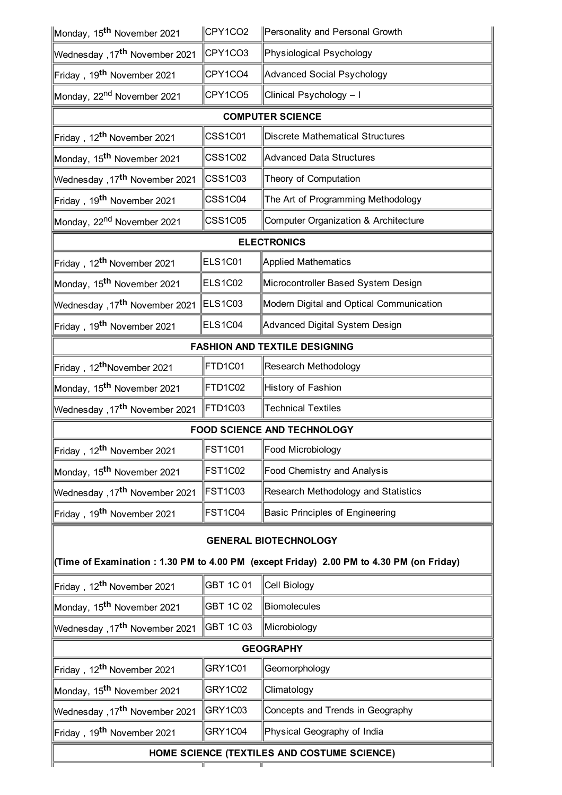| Monday, 15 <sup>th</sup> November 2021                                                  | CPY1CO2          | Personality and Personal Growth          |  |  |  |
|-----------------------------------------------------------------------------------------|------------------|------------------------------------------|--|--|--|
| Wednesday ,17 <sup>th</sup> November 2021                                               | CPY1CO3          | Physiological Psychology                 |  |  |  |
| Friday, 19 <sup>th</sup> November 2021                                                  | CPY1CO4          | Advanced Social Psychology               |  |  |  |
| Monday, 22 <sup>nd</sup> November 2021                                                  | CPY1CO5          | Clinical Psychology - I                  |  |  |  |
| <b>COMPUTER SCIENCE</b>                                                                 |                  |                                          |  |  |  |
| Friday, 12 <sup>th</sup> November 2021                                                  | <b>CSS1C01</b>   | Discrete Mathematical Structures         |  |  |  |
| Monday, 15 <sup>th</sup> November 2021                                                  | <b>CSS1C02</b>   | Advanced Data Structures                 |  |  |  |
| Wednesday ,17 <sup>th</sup> November 2021                                               | <b>CSS1C03</b>   | Theory of Computation                    |  |  |  |
| Friday, 19 <sup>th</sup> November 2021                                                  | CSS1C04          | The Art of Programming Methodology       |  |  |  |
| Monday, 22 <sup>nd</sup> November 2021                                                  | <b>CSS1C05</b>   | Computer Organization & Architecture     |  |  |  |
|                                                                                         |                  | <b>ELECTRONICS</b>                       |  |  |  |
| Friday, 12 <sup>th</sup> November 2021                                                  | <b>ELS1C01</b>   | <b>Applied Mathematics</b>               |  |  |  |
| Monday, 15 <sup>th</sup> November 2021                                                  | <b>ELS1C02</b>   | Microcontroller Based System Design      |  |  |  |
| Wednesday ,17 <sup>th</sup> November 2021                                               | <b>ELS1C03</b>   | Modern Digital and Optical Communication |  |  |  |
| Friday, 19 <sup>th</sup> November 2021                                                  | ELS1C04          | Advanced Digital System Design           |  |  |  |
|                                                                                         |                  | <b>FASHION AND TEXTILE DESIGNING</b>     |  |  |  |
| Friday, 12 <sup>th</sup> November 2021                                                  | FTD1C01          | Research Methodology                     |  |  |  |
| Monday, 15 <sup>th</sup> November 2021                                                  | FTD1C02          | History of Fashion                       |  |  |  |
| Wednesday ,17 <sup>th</sup> November 2021                                               | FTD1C03          | Technical Textiles                       |  |  |  |
| <b>FOOD SCIENCE AND TECHNOLOGY</b>                                                      |                  |                                          |  |  |  |
| Friday, 12 <sup>th</sup> November 2021                                                  | FST1C01          | Food Microbiology                        |  |  |  |
| Monday, 15 <sup>th</sup> November 2021                                                  | FST1C02          | Food Chemistry and Analysis              |  |  |  |
| Wednesday, 17 <sup>th</sup> November 2021                                               | FST1C03          | Research Methodology and Statistics      |  |  |  |
| Friday, 19 <sup>th</sup> November 2021                                                  | FST1C04          | Basic Principles of Engineering          |  |  |  |
| <b>GENERAL BIOTECHNOLOGY</b>                                                            |                  |                                          |  |  |  |
| (Time of Examination: 1.30 PM to 4.00 PM (except Friday) 2.00 PM to 4.30 PM (on Friday) |                  |                                          |  |  |  |
| Friday, 12 <sup>th</sup> November 2021                                                  | <b>GBT 1C 01</b> | Cell Biology                             |  |  |  |
| Monday, 15 <sup>th</sup> November 2021                                                  | <b>GBT 1C 02</b> | Biomolecules                             |  |  |  |
| Wednesday, 17 <sup>th</sup> November 2021                                               | GBT 1C 03        | Microbiology                             |  |  |  |
| <b>GEOGRAPHY</b>                                                                        |                  |                                          |  |  |  |
| Friday, 12 <sup>th</sup> November 2021                                                  | GRY1C01          | Geomorphology                            |  |  |  |
| Monday, 15 <sup>th</sup> November 2021                                                  | GRY1C02          | Climatology                              |  |  |  |
| Wednesday, 17 <sup>th</sup> November 2021                                               | GRY1C03          | Concepts and Trends in Geography         |  |  |  |
| Friday, 19 <sup>th</sup> November 2021                                                  | GRY1C04          | Physical Geography of India              |  |  |  |

# **HOME SCIENCE (TEXTILES AND COSTUME SCIENCE)**

īī

ī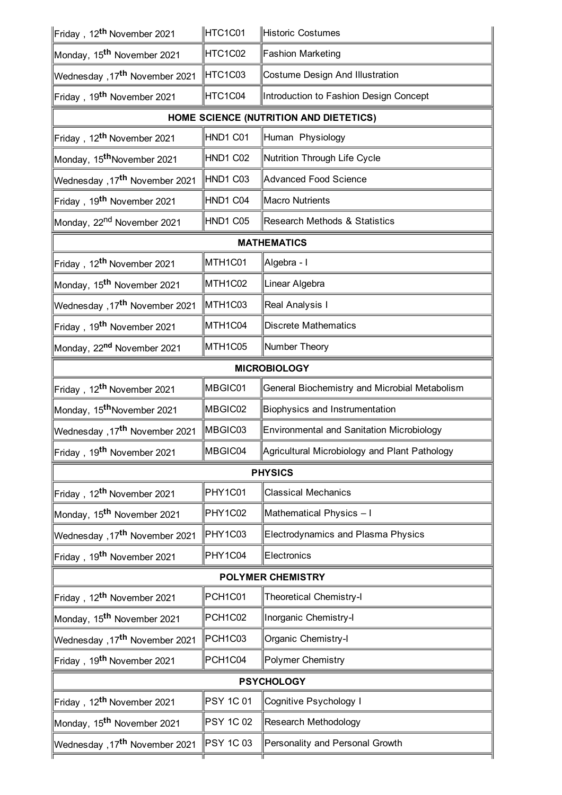| ∥Friday,12 <sup>th</sup> November 2021            | HTC1C01              | Historic Costumes                                |  |  |  |
|---------------------------------------------------|----------------------|--------------------------------------------------|--|--|--|
| Monday, 15 <sup>th</sup> November 2021            | HTC1C02              | <b>Fashion Marketing</b>                         |  |  |  |
| Nednesday ,17 <sup>th</sup> November 2021∥        | HTC1C03              | <b>Costume Design And Illustration</b>           |  |  |  |
| Friday,19 <sup>th</sup> November 2021             | HTC1C04              | Introduction to Fashion Design Concept           |  |  |  |
|                                                   |                      | HOME SCIENCE (NUTRITION AND DIETETICS)           |  |  |  |
| Friday,12 <sup>th</sup> November 2021             | HND1 C01             | Human Physiology                                 |  |  |  |
| Monday, 15 <sup>th</sup> November 2021            | HND1 C02             | Nutrition Through Life Cycle                     |  |  |  |
| Nednesday ,17 <sup>th</sup> November 2021∥        | HND1 C03             | <b>Advanced Food Science</b>                     |  |  |  |
| Friday,19 <sup>th</sup> November 2021             | HND1 C04             | <b>Macro Nutrients</b>                           |  |  |  |
| Monday, 22 <sup>nd</sup> November 2021            | HND1 C05             | <b>Research Methods &amp; Statistics</b>         |  |  |  |
| <b>MATHEMATICS</b>                                |                      |                                                  |  |  |  |
| Friday,12 <sup>th</sup> November 2021             | MTH <sub>1</sub> C01 | Algebra - I                                      |  |  |  |
| Monday, 15 <sup>th</sup> November 2021            | MTH1C02              | Linear Algebra                                   |  |  |  |
| <u>Wednesday</u> ,17 <sup>th</sup> November 2021∥ | MTH <sub>1</sub> C03 | Real Analysis I                                  |  |  |  |
| Friday,19 <sup>th</sup> November 2021             | MTH1C04              | Discrete Mathematics                             |  |  |  |
| Monday, 22 <sup>nd</sup> November 2021            | MTH1C05              | Number Theory                                    |  |  |  |
| <b>MICROBIOLOGY</b>                               |                      |                                                  |  |  |  |
| ∥Friday,12 <sup>th</sup> November 2021            | MBGIC01              | General Biochemistry and Microbial Metabolism    |  |  |  |
| Monday, 15 <sup>th</sup> November 2021            | MBGIC02              | Biophysics and Instrumentation                   |  |  |  |
| Nednesday ,17 <sup>th</sup> November 2021∥        | MBGIC03              | <b>Environmental and Sanitation Microbiology</b> |  |  |  |
| Friday, 19 <sup>th</sup> November 2021            | MBGIC04              | Agricultural Microbiology and Plant Pathology    |  |  |  |
| <b>PHYSICS</b>                                    |                      |                                                  |  |  |  |
| Friday,12 <sup>th</sup> November 2021             | PHY1C01              | <b>Classical Mechanics</b>                       |  |  |  |
| Monday, 15 <sup>th</sup> November 2021            | PHY1C02              | Mathematical Physics - I                         |  |  |  |
| Wednesday ,17 <sup>th</sup> November 2021         | PHY1C03              | Electrodynamics and Plasma Physics               |  |  |  |
| Friday,19 <sup>th</sup> November 2021             | PHY1C04              | Electronics                                      |  |  |  |
| <b>POLYMER CHEMISTRY</b>                          |                      |                                                  |  |  |  |
| Friday,12 <sup>th</sup> November 2021             | PCH1C01              | <b>Theoretical Chemistry-I</b>                   |  |  |  |
| Monday, 15 <sup>th</sup> November 2021            | PCH1C02              | Inorganic Chemistry-I                            |  |  |  |
| <u>Wednesday</u> ,17 <sup>th</sup> November 2021∥ | PCH1C03              | Organic Chemistry-I                              |  |  |  |
| Friday,19 <sup>th</sup> November 2021             | PCH1C04              | Polymer Chemistry                                |  |  |  |
| <b>PSYCHOLOGY</b>                                 |                      |                                                  |  |  |  |
| ∥Friday,12 <sup>th</sup> November 2021            | <b>PSY 1C 01</b>     | Cognitive Psychology I                           |  |  |  |
| Monday, 15 <sup>th</sup> November 2021            | <b>PSY 1C 02</b>     | Research Methodology                             |  |  |  |
| Nednesday ,17 <sup>th</sup> November 2021∥        | PSY 1C 03            | Personality and Personal Growth                  |  |  |  |
|                                                   |                      |                                                  |  |  |  |